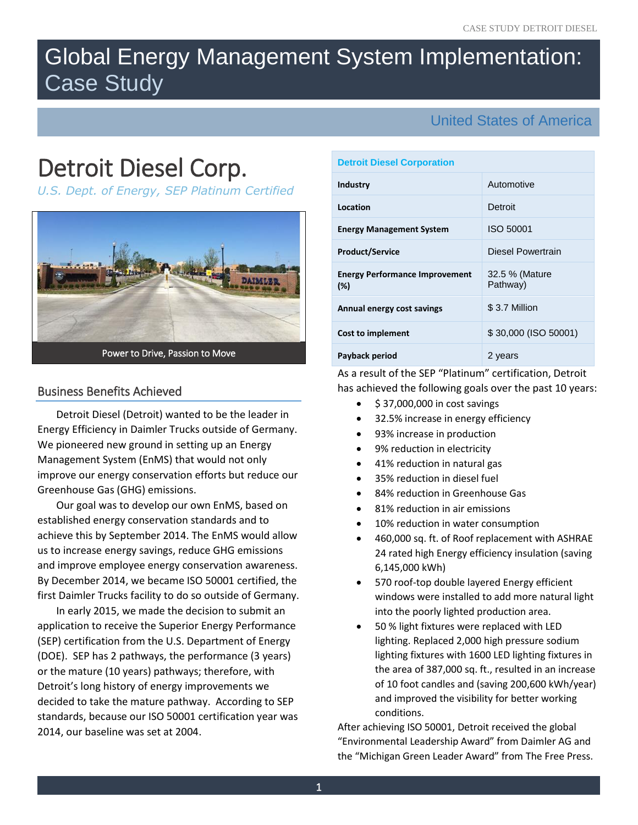# Global Energy Management System Implementation: Case Study

# United States of America

# Detroit Diesel Corp.

*U.S. Dept. of Energy, SEP Platinum Certified*



# Business Benefits Achieved

Detroit Diesel (Detroit) wanted to be the leader in Energy Efficiency in Daimler Trucks outside of Germany. We pioneered new ground in setting up an Energy Management System (EnMS) that would not only improve our energy conservation efforts but reduce our Greenhouse Gas (GHG) emissions.

Our goal was to develop our own EnMS, based on established energy conservation standards and to achieve this by September 2014. The EnMS would allow us to increase energy savings, reduce GHG emissions and improve employee energy conservation awareness. By December 2014, we became ISO 50001 certified, the first Daimler Trucks facility to do so outside of Germany.

In early 2015, we made the decision to submit an application to receive the Superior Energy Performance (SEP) certification from the U.S. Department of Energy (DOE). SEP has 2 pathways, the performance (3 years) or the mature (10 years) pathways; therefore, with Detroit's long history of energy improvements we decided to take the mature pathway. According to SEP standards, because our ISO 50001 certification year was 2014, our baseline was set at 2004.

## **Detroit Diesel Corporation**

| <b>Industry</b>                              | Automotive                 |  |
|----------------------------------------------|----------------------------|--|
| Location                                     | Detroit                    |  |
| <b>Energy Management System</b>              | <b>ISO 50001</b>           |  |
| <b>Product/Service</b>                       | Diesel Powertrain          |  |
| <b>Energy Performance Improvement</b><br>(%) | 32.5 % (Mature<br>Pathway) |  |
| Annual energy cost savings                   | \$3.7 Million              |  |
| <b>Cost to implement</b>                     | \$30,000 (ISO 50001)       |  |
| Payback period                               | 2 years                    |  |

# As a result of the SEP "Platinum" certification, Detroit has achieved the following goals over the past 10 years:

- $\bullet$  \$ 37,000,000 in cost savings
- 32.5% increase in energy efficiency
- 93% increase in production
- 9% reduction in electricity
- 41% reduction in natural gas
- 35% reduction in diesel fuel
- 84% reduction in Greenhouse Gas
- 81% reduction in air emissions
- 10% reduction in water consumption
- 460,000 sq. ft. of Roof replacement with ASHRAE 24 rated high Energy efficiency insulation (saving 6,145,000 kWh)
- 570 roof-top double layered Energy efficient windows were installed to add more natural light into the poorly lighted production area.
- 50 % light fixtures were replaced with LED lighting. Replaced 2,000 high pressure sodium lighting fixtures with 1600 LED lighting fixtures in the area of 387,000 sq. ft., resulted in an increase of 10 foot candles and (saving 200,600 kWh/year) and improved the visibility for better working conditions.

After achieving ISO 50001, Detroit received the global "Environmental Leadership Award" from Daimler AG and the "Michigan Green Leader Award" from The Free Press.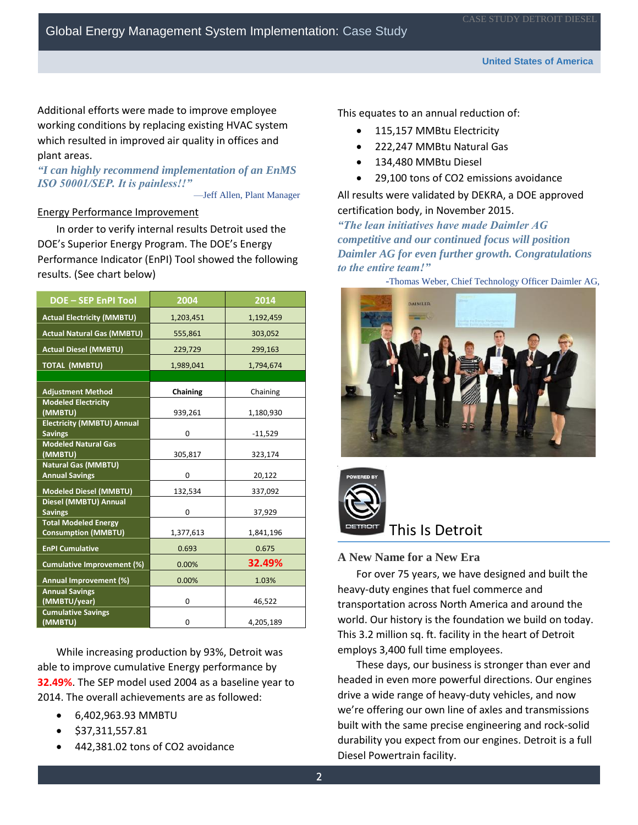Additional efforts were made to improve employee working conditions by replacing existing HVAC system which resulted in improved air quality in offices and plant areas.

# *"I can highly recommend implementation of an EnMS ISO 50001/SEP. It is painless!!"*

—Jeff Allen, Plant Manager

## Energy Performance Improvement

In order to verify internal results Detroit used the DOE's Superior Energy Program. The DOE's Energy Performance Indicator (EnPI) Tool showed the following results. (See chart below)

| <b>DOE-SEP EnPI Tool</b>                                  | 2004      | 2014      |
|-----------------------------------------------------------|-----------|-----------|
| <b>Actual Electricity (MMBTU)</b>                         | 1,203,451 | 1,192,459 |
| <b>Actual Natural Gas (MMBTU)</b>                         | 555,861   | 303,052   |
| <b>Actual Diesel (MMBTU)</b>                              | 229,729   | 299,163   |
| <b>TOTAL (MMBTU)</b>                                      | 1,989,041 | 1,794,674 |
|                                                           |           |           |
| <b>Adjustment Method</b>                                  | Chaining  | Chaining  |
| <b>Modeled Electricity</b><br>(MMBTU)                     | 939,261   | 1,180,930 |
| <b>Electricity (MMBTU) Annual</b><br><b>Savings</b>       | 0         | $-11,529$ |
| <b>Modeled Natural Gas</b><br>(MMBTU)                     | 305,817   | 323,174   |
| Natural Gas (MMBTU)<br><b>Annual Savings</b>              | 0         | 20,122    |
| <b>Modeled Diesel (MMBTU)</b>                             | 132,534   | 337,092   |
| Diesel (MMBTU) Annual<br><b>Savings</b>                   | 0         | 37,929    |
| <b>Total Modeled Energy</b><br><b>Consumption (MMBTU)</b> | 1,377,613 | 1,841,196 |
| <b>EnPI Cumulative</b>                                    | 0.693     | 0.675     |
| <b>Cumulative Improvement (%)</b>                         | 0.00%     | 32.49%    |
| Annual Improvement (%)                                    | 0.00%     | 1.03%     |
| <b>Annual Savings</b><br>(MMBTU/year)                     | 0         | 46,522    |
| <b>Cumulative Savings</b><br>(MMBTU)                      | 0         | 4,205,189 |

While increasing production by 93%, Detroit was able to improve cumulative Energy performance by **32.49%**. The SEP model used 2004 as a baseline year to 2014. The overall achievements are as followed:

- 6,402,963.93 MMBTU
- \$37,311,557.81
- 442,381.02 tons of CO2 avoidance

This equates to an annual reduction of:

- 115,157 MMBtu Electricity
- 222,247 MMBtu Natural Gas
- 134,480 MMBtu Diesel
- 29,100 tons of CO2 emissions avoidance

All results were validated by DEKRA, a DOE approved certification body, in November 2015.

*"The lean initiatives have made Daimler AG competitive and our continued focus will position Daimler AG for even further growth. Congratulations to the entire team!"* 





# This Is Detroit

# **A New Name for a New Era**

For over 75 years, we have designed and built the heavy-duty engines that fuel commerce and transportation across North America and around the world. Our history is the foundation we build on today. This 3.2 million sq. ft. facility in the heart of Detroit employs 3,400 full time employees.

These days, our business is stronger than ever and headed in even more powerful directions. Our engines drive a [wide range of heavy-duty vehicles,](https://www.demanddetroit.com/about/vehiclefamily.aspx) and now we're offering our own line of axles and transmissions built with the same precise engineering and rock-solid durability you expect from our engines. Detroit is a full Diesel Powertrain facility.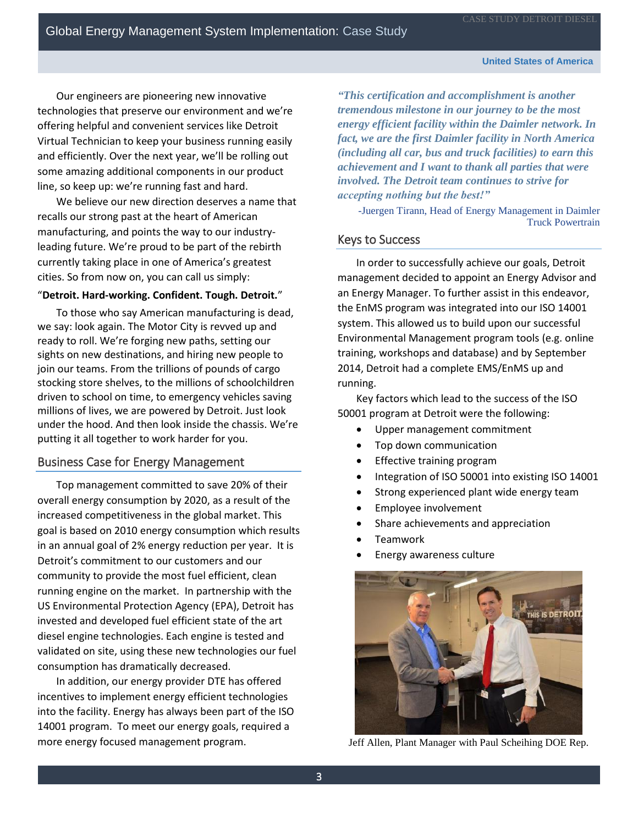#### **United States of America**

Our engineers are pioneering new innovative technologies that [preserve our environment](https://www.demanddetroit.com/about/environment.aspx) and we're offering helpful and convenient services like Detroit Virtual Technician to keep your business running easily and efficiently. Over the next year, we'll be rolling out some amazing additional components in our product line, so keep up: we're running fast and hard.

We believe our new direction deserves a name that recalls our strong past at the heart of American manufacturing, and points the way to our industryleading future. We're proud to be part of the rebirth currently taking place in one of America's greatest cities. So from now on, you can call us simply:

### "**Detroit. Hard-working. Confident. Tough. Detroit.**"

To those who say American manufacturing is dead, we say: look again. The Motor City is revved up and ready to roll. We're forging new paths, setting our sights on new destinations, and hiring new people to join our teams. From the trillions of pounds of cargo stocking store shelves, to the millions of schoolchildren driven to school on time, to emergency vehicles saving millions of lives, we are powered by Detroit. Just look under the hood. And then look inside the chassis. We're putting it all together to work harder for you.

## Business Case for Energy Management

Top management committed to save 20% of their overall energy consumption by 2020, as a result of the increased competitiveness in the global market. This goal is based on 2010 energy consumption which results in an annual goal of 2% energy reduction per year. It is Detroit's commitment to our customers and our community to provide the most fuel efficient, clean running engine on the market. In partnership with the US Environmental Protection Agency (EPA), Detroit has invested and developed fuel efficient state of the art diesel engine technologies. Each engine is tested and validated on site, using these new technologies our fuel consumption has dramatically decreased.

In addition, our energy provider DTE has offered incentives to implement energy efficient technologies into the facility. Energy has always been part of the ISO 14001 program. To meet our energy goals, required a more energy focused management program.

*"This certification and accomplishment is another tremendous milestone in our journey to be the most energy efficient facility within the Daimler network. In fact, we are the first Daimler facility in North America (including all car, bus and truck facilities) to earn this achievement and I want to thank all parties that were involved. The Detroit team continues to strive for accepting nothing but the best!"*

-Juergen Tirann, Head of Energy Management in Daimler Truck Powertrain

# Keys to Success

In order to successfully achieve our goals, Detroit management decided to appoint an Energy Advisor and an Energy Manager. To further assist in this endeavor, the EnMS program was integrated into our ISO 14001 system. This allowed us to build upon our successful Environmental Management program tools (e.g. online training, workshops and database) and by September 2014, Detroit had a complete EMS/EnMS up and running.

Key factors which lead to the success of the ISO 50001 program at Detroit were the following:

- Upper management commitment
- Top down communication
- Effective training program
- Integration of ISO 50001 into existing ISO 14001
- Strong experienced plant wide energy team
- Employee involvement
- Share achievements and appreciation
- Teamwork
- Energy awareness culture



Jeff Allen, Plant Manager with Paul Scheihing DOE Rep.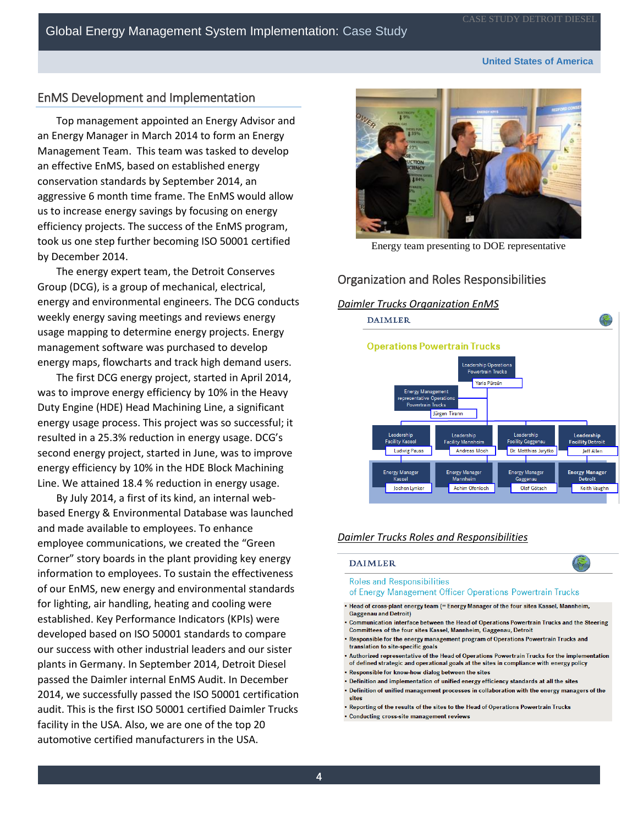# EnMS Development and Implementation

Top management appointed an Energy Advisor and an Energy Manager in March 2014 to form an Energy Management Team. This team was tasked to develop an effective EnMS, based on established energy conservation standards by September 2014, an aggressive 6 month time frame. The EnMS would allow us to increase energy savings by focusing on energy efficiency projects. The success of the EnMS program, took us one step further becoming ISO 50001 certified by December 2014.

The energy expert team, the Detroit Conserves Group (DCG), is a group of mechanical, electrical, energy and environmental engineers. The DCG conducts weekly energy saving meetings and reviews energy usage mapping to determine energy projects. Energy management software was purchased to develop energy maps, flowcharts and track high demand users.

The first DCG energy project, started in April 2014, was to improve energy efficiency by 10% in the Heavy Duty Engine (HDE) Head Machining Line, a significant energy usage process. This project was so successful; it resulted in a 25.3% reduction in energy usage. DCG's second energy project, started in June, was to improve energy efficiency by 10% in the HDE Block Machining Line. We attained 18.4 % reduction in energy usage.

By July 2014, a first of its kind, an internal webbased Energy & Environmental Database was launched and made available to employees. To enhance employee communications, we created the "Green Corner" story boards in the plant providing key energy information to employees. To sustain the effectiveness of our EnMS, new energy and environmental standards for lighting, air handling, heating and cooling were established. Key Performance Indicators (KPIs) were developed based on ISO 50001 standards to compare our success with other industrial leaders and our sister plants in Germany. In September 2014, Detroit Diesel passed the Daimler internal EnMS Audit. In December 2014, we successfully passed the ISO 50001 certification audit. This is the first ISO 50001 certified Daimler Trucks facility in the USA. Also, we are one of the top 20 automotive certified manufacturers in the USA.



Energy team presenting to DOE representative

# Organization and Roles Responsibilities



#### *Daimler Trucks Roles and Responsibilities*

#### **DAIMLER**

**Roles and Responsibilities** 

- of Energy Management Officer Operations Powertrain Trucks
- . Head of cross-plant energy team (= Energy Manager of the four sites Kassel, Mannheim, Gaggenau and Detroit)
- Communication interface between the Head of Operations Powertrain Trucks and the Steering Committees of the four sites Kassel, Mannheim, Gaggenau, Detroit
- Responsible for the energy management program of Operations Powertrain Trucks and translation to site-specific goals
- . Authorized representative of the Head of Operations Powertrain Trucks for the implementation of defined strategic and operational goals at the sites in compliance with energy policy
- . Responsible for know-how dialog between the sites
- . Definition and implementation of unified energy efficiency standards at all the sites
- . Definition of unified management processes in collaboration with the energy managers of the sites
- . Reporting of the results of the sites to the Head of Operations Powertrain Trucks
- Conducting cross-site management reviews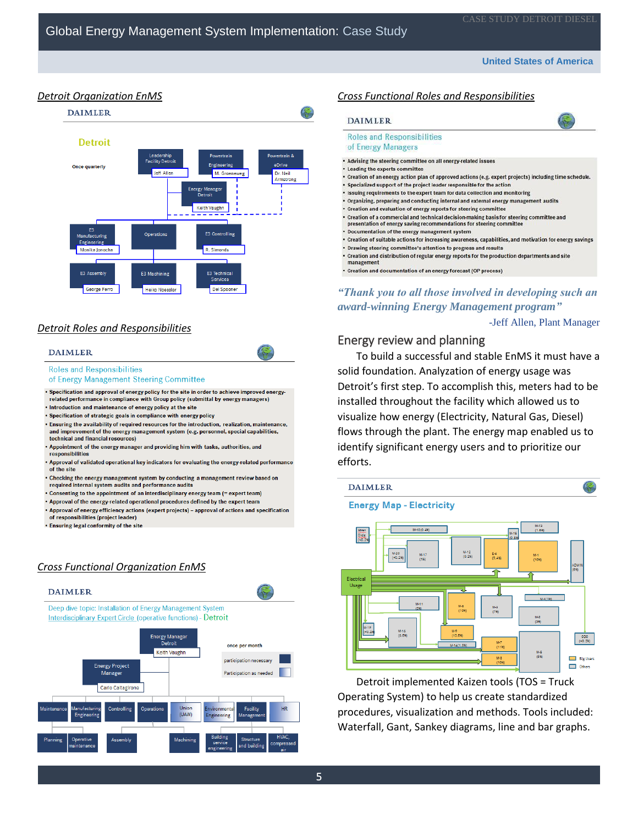#### **United States of America**

传

## *Detroit Organization EnMS*



# *Detroit Roles and Responsibilities*

#### **DAIMLER**

#### **Roles and Responsibilities**

of Energy Management Steering Committee

. Specification and approval of energy policy for the site in order to achieve improved energyrelated performance in compliance with Group policy (submittal by energy managers) Introduction and maintenance of energy policy at the site

- · Specification of strategic goals in compliance with energy policy
- .<br>Ensuring the availability of required resources for the introduction, realization, maintenance, and improvement of the energy management system (e.g. personnel, special capabilities, technical and financial resources)
- . Appointment of the energy manager and providing him with tasks, authorities, and responsibilities
- Approval of validated operational key indicators for evaluating the energy-related performance of the site
- . Checking the energy management system by conducting a management review based on required internal system audits and performance audits
- Consenting to the appointment of an interdisciplinary energy team (= expert team)
- . Approval of the energy-related operational procedures defined by the expert team
- . Approval of energy efficiency actions (expert projects) approval of actions and specification of responsibilities (project leader)
- . Ensuring legal conformity of the site

# *Cross Functional Organization EnMS*



### *Cross Functional Roles and Responsibilities*

#### **DAIMLER**

## **Roles and Responsibilities**

- of Energy Managers
- . Advising the steering committee on all energy-related issues
- . Leading the experts committee
- . Creation of an energy action plan of approved actions (e.g. expert projects) including time schedule. . Specialized support of the project leader responsible for the action
- . Issuing requirements to the expert team for data collection and monitoring
- . Organizing, preparing and conducting internal and external energy management audits
- . Creation and evaluation of energy reports for steering committee
- . Creation of a commercial and technical decision-making basis for steering committee and<br>presentation of energy saving recommendations for steering committee
- 
- Documentation of the energy management system
- Creation of suitable actions for increasing awareness, capabilities, and motivation for energy savings
- Drawing steering committee's attention to progress and results
- . Creation and distribution of regular energy reports for the production departments and site management
- Creation and documentation of an energy forecast (OP process)

# *"Thank you to all those involved in developing such an award-winning Energy Management program"*

-Jeff Allen, Plant Manager

**Big Users** 

Others

# Energy review and planning

To build a successful and stable EnMS it must have a solid foundation. Analyzation of energy usage was Detroit's first step. To accomplish this, meters had to be installed throughout the facility which allowed us to visualize how energy (Electricity, Natural Gas, Diesel) flows through the plant. The energy map enabled us to identify significant energy users and to prioritize our efforts.



Detroit implemented Kaizen tools (TOS = Truck Operating System) to help us create standardized procedures, visualization and methods. Tools included: Waterfall, Gant, Sankey diagrams, line and bar graphs.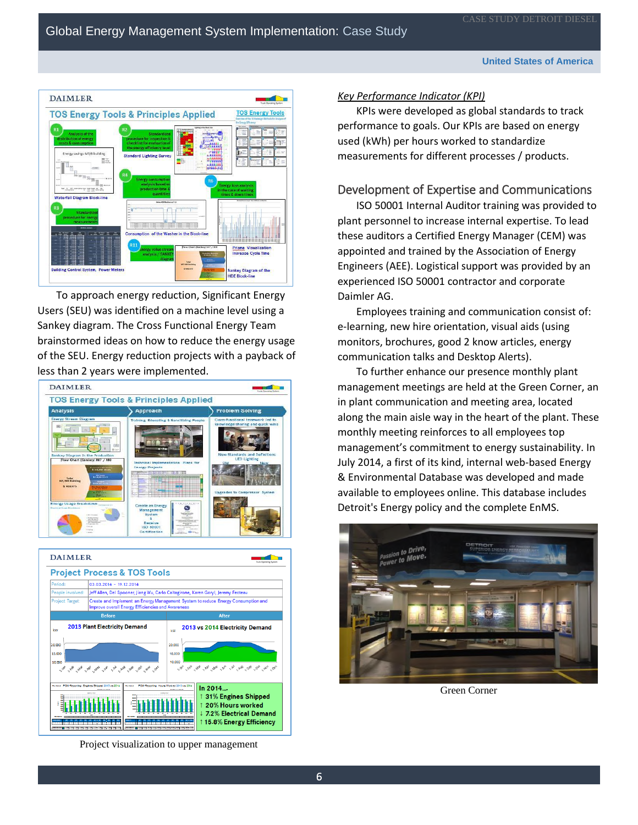

To approach energy reduction, Significant Energy Users (SEU) was identified on a machine level using a Sankey diagram. The Cross Functional Energy Team brainstormed ideas on how to reduce the energy usage of the SEU. Energy reduction projects with a payback of less than 2 years were implemented.





Project visualization to upper management

## *Key Performance Indicator (KPI)*

KPIs were developed as global standards to track performance to goals. Our KPIs are based on energy used (kWh) per hours worked to standardize measurements for different processes / products.

# Development of Expertise and Communications

ISO 50001 Internal Auditor training was provided to plant personnel to increase internal expertise. To lead these auditors a Certified Energy Manager (CEM) was appointed and trained by the Association of Energy Engineers (AEE). Logistical support was provided by an experienced ISO 50001 contractor and corporate Daimler AG.

Employees training and communication consist of: e-learning, new hire orientation, visual aids (using monitors, brochures, good 2 know articles, energy communication talks and Desktop Alerts).

To further enhance our presence monthly plant management meetings are held at the Green Corner, an in plant communication and meeting area, located along the main aisle way in the heart of the plant. These monthly meeting reinforces to all employees top management's commitment to energy sustainability. In July 2014, a first of its kind, internal web-based Energy & Environmental Database was developed and made available to employees online. This database includes Detroit's Energy policy and the complete EnMS.



Green Corner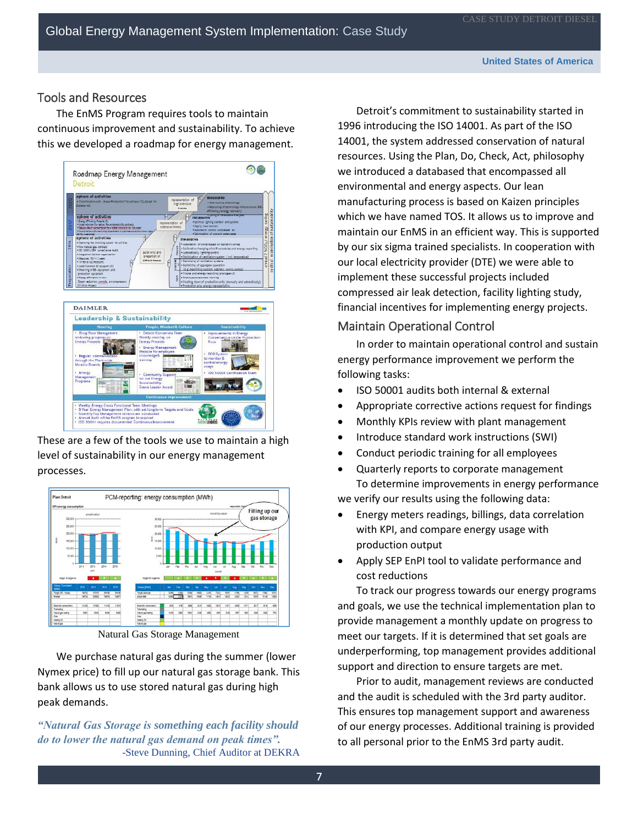# Tools and Resources

The EnMS Program requires tools to maintain continuous improvement and sustainability. To achieve this we developed a roadmap for energy management.



These are a few of the tools we use to maintain a high level of sustainability in our energy management processes.



Natural Gas Storage Management

We purchase natural gas during the summer (lower Nymex price) to fill up our natural gas storage bank. This bank allows us to use stored natural gas during high peak demands.

*"Natural Gas Storage is something each facility should do to lower the natural gas demand on peak times".* -Steve Dunning, Chief Auditor at DEKRA

Detroit's commitment to sustainability started in 1996 introducing the ISO 14001. As part of the ISO 14001, the system addressed conservation of natural resources. Using the Plan, Do, Check, Act, philosophy we introduced a databased that encompassed all environmental and energy aspects. Our lean manufacturing process is based on Kaizen principles which we have named TOS. It allows us to improve and maintain our EnMS in an efficient way. This is supported by our six sigma trained specialists. In cooperation with our local electricity provider (DTE) we were able to implement these successful projects included compressed air leak detection, facility lighting study, financial incentives for implementing energy projects.

# Maintain Operational Control

In order to maintain operational control and sustain energy performance improvement we perform the following tasks:

- ISO 50001 audits both internal & external
- Appropriate corrective actions request for findings
- Monthly KPIs review with plant management
- Introduce standard work instructions (SWI)
- Conduct periodic training for all employees
- Quarterly reports to corporate management To determine improvements in energy performance

we verify our results using the following data:

- Energy meters readings, billings, data correlation with KPI, and compare energy usage with production output
- Apply SEP EnPI tool to validate performance and cost reductions

To track our progress towards our energy programs and goals, we use the technical implementation plan to provide management a monthly update on progress to meet our targets. If it is determined that set goals are underperforming, top management provides additional support and direction to ensure targets are met.

Prior to audit, management reviews are conducted and the audit is scheduled with the 3rd party auditor. This ensures top management support and awareness of our energy processes. Additional training is provided to all personal prior to the EnMS 3rd party audit.